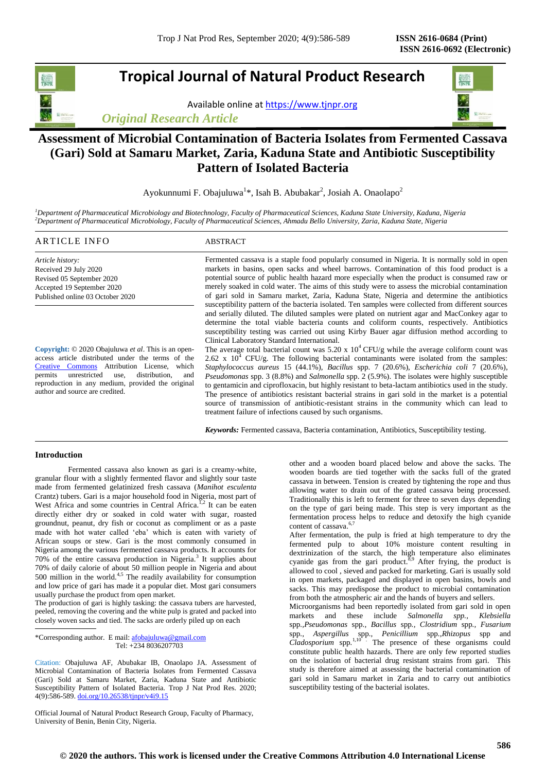# **Tropical Journal of Natural Product Research**

Available online a[t https://www.tjnpr.org](https://www.tjnpr.org/)

*Original Research Article*



## **Assessment of Microbial Contamination of Bacteria Isolates from Fermented Cassava (Gari) Sold at Samaru Market, Zaria, Kaduna State and Antibiotic Susceptibility Pattern of Isolated Bacteria**

Ayokunnumi F. Obajuluwa<sup>1\*</sup>, Isah B. Abubakar<sup>2</sup>, Josiah A. Onaolapo<sup>2</sup>

*<sup>1</sup>Department of Pharmaceutical Microbiology and Biotechnology, Faculty of Pharmaceutical Sciences, Kaduna State University, Kaduna, Nigeria <sup>2</sup>Department of Pharmaceutical Microbiology, Faculty of Pharmaceutical Sciences, Ahmadu Bello University, Zaria, Kaduna State, Nigeria*

## ARTICLE INFO ABSTRACT

*Article history:* Received 29 July 2020 Revised 05 September 2020 Accepted 19 September 2020 Published online 03 October 2020

**Copyright:** © 2020 Obajuluwa *et al*. This is an openaccess article distributed under the terms of the [Creative Commons](https://creativecommons.org/licenses/by/4.0/) Attribution License, which permits unrestricted use, distribution, and reproduction in any medium, provided the original author and source are credited.

Fermented cassava is a staple food popularly consumed in Nigeria. It is normally sold in open markets in basins, open sacks and wheel barrows. Contamination of this food product is a potential source of public health hazard more especially when the product is consumed raw or merely soaked in cold water. The aims of this study were to assess the microbial contamination of gari sold in Samaru market, Zaria, Kaduna State, Nigeria and determine the antibiotics susceptibility pattern of the bacteria isolated. Ten samples were collected from different sources and serially diluted. The diluted samples were plated on nutrient agar and MacConkey agar to determine the total viable bacteria counts and coliform counts, respectively. Antibiotics susceptibility testing was carried out using Kirby Bauer agar diffusion method according to Clinical Laboratory Standard International.

The average total bacterial count was  $5.20 \times 10^4$  CFU/g while the average coliform count was  $2.62 \times 10^4$  CFU/g. The following bacterial contaminants were isolated from the samples: *Staphylococcus aureus* 15 (44.1%), *Bacillus* spp. 7 (20.6%), *Escherichia coli* 7 (20.6%), *Pseudomonas* spp. 3 (8.8%) and *Salmonella* spp. 2 (5.9%). The isolates were highly susceptible to gentamicin and ciprofloxacin, but highly resistant to beta-lactam antibiotics used in the study. The presence of antibiotics resistant bacterial strains in gari sold in the market is a potential source of transmission of antibiotic-resistant strains in the community which can lead to treatment failure of infections caused by such organisms.

*Keywords:* Fermented cassava, Bacteria contamination, Antibiotics, Susceptibility testing.

## **Introduction**

Fermented cassava also known as gari is a creamy-white, granular flour with a slightly fermented flavor and slightly sour taste made from fermented gelatinized fresh cassava (*Manihot esculenta*  Crantz) tubers. Gari is a major household food in Nigeria, most part of West Africa and some countries in Central Africa.<sup>1,2</sup> It can be eaten directly either dry or soaked in cold water with sugar, roasted groundnut, peanut, dry fish or coconut as compliment or as a paste made with hot water called 'eba' which is eaten with variety of African soups or stew. Gari is the most commonly consumed in Nigeria among the various fermented cassava products. It accounts for 70% of the entire cassava production in Nigeria.<sup>3</sup> It supplies about 70% of daily calorie of about 50 million people in Nigeria and about 500 million in the world.<sup>4,5</sup> The readily availability for consumption and low price of gari has made it a popular diet. Most gari consumers usually purchase the product from open market.

The production of gari is highly tasking: the cassava tubers are harvested, peeled, removing the covering and the white pulp is grated and packed into closely woven sacks and tied. The sacks are orderly piled up on each

\*Corresponding author. E mail[: afobajuluwa@gmail.com](mailto:afobajuluwa@gmail.com) Tel: +234 8036207703

Citation: Obajuluwa AF, Abubakar IB, Onaolapo JA. Assessment of Microbial Contamination of Bacteria Isolates from Fermented Cassava (Gari) Sold at Samaru Market, Zaria, Kaduna State and Antibiotic Susceptibility Pattern of Isolated Bacteria. Trop J Nat Prod Res. 2020; 4(9):586-589[. doi.org/10.26538/tjnpr/v4i9.1](http://www.doi.org/10.26538/tjnpr/v1i4.5)5

Official Journal of Natural Product Research Group, Faculty of Pharmacy, University of Benin, Benin City, Nigeria.

other and a wooden board placed below and above the sacks. The wooden boards are tied together with the sacks full of the grated cassava in between. Tension is created by tightening the rope and thus allowing water to drain out of the grated cassava being processed. Traditionally this is left to ferment for three to seven days depending on the type of gari being made. This step is very important as the fermentation process helps to reduce and detoxify the high cyanide content of cassava.<sup>6,7</sup>

After fermentation, the pulp is fried at high temperature to dry the fermented pulp to about 10% moisture content resulting in dextrinization of the starch, the high temperature also eliminates cyanide gas from the gari product.<sup>8,9</sup> After frying, the product is allowed to cool , sieved and packed for marketing. Gari is usually sold in open markets, packaged and displayed in open basins, bowls and sacks. This may predispose the product to microbial contamination from both the atmospheric air and the hands of buyers and sellers.

Microorganisms had been reportedly isolated from gari sold in open markets and these include *Salmonella spp., Klebsiella*  spp*.,Pseudomonas* spp*., Bacillus* spp*., Clostridium* spp*., Fusarium*  spp*., Aspergillus* spp*., Penicillium* spp*.,Rhizopus* spp and *Cladosporium* spp.<sup>1,10</sup> The presence of these organisms could constitute public health hazards. There are only few reported studies on the isolation of bacterial drug resistant strains from gari. This study is therefore aimed at assessing the bacterial contamination of gari sold in Samaru market in Zaria and to carry out antibiotics susceptibility testing of the bacterial isolates.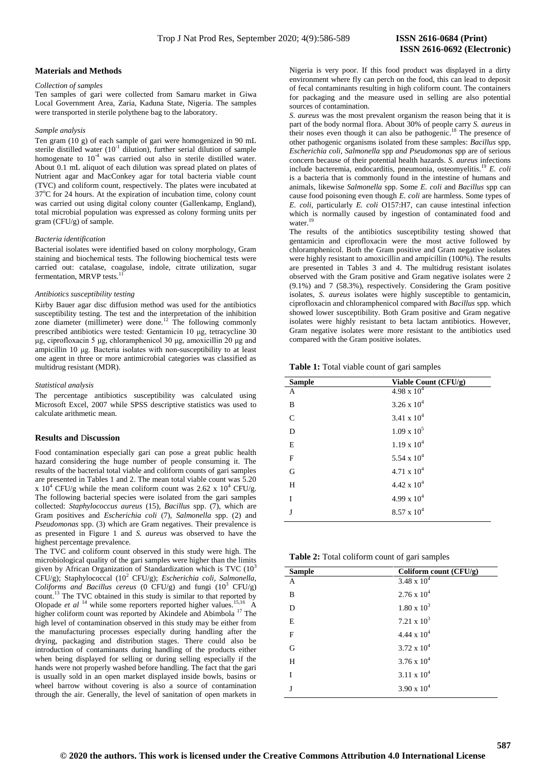#### **Materials and Methods**

#### *Collection of samples*

Ten samples of gari were collected from Samaru market in Giwa Local Government Area, Zaria, Kaduna State, Nigeria. The samples were transported in sterile polythene bag to the laboratory.

#### *Sample analysis*

Ten gram (10 g) of each sample of gari were homogenized in 90 mL sterile distilled water  $(10^{-1}$  dilution), further serial dilution of sample homogenate to  $10^{-4}$  was carried out also in sterile distilled water. About 0.1 mL aliquot of each dilution was spread plated on plates of Nutrient agar and MacConkey agar for total bacteria viable count (TVC) and coliform count, respectively. The plates were incubated at 37°C for 24 hours. At the expiration of incubation time, colony count was carried out using digital colony counter (Gallenkamp, England), total microbial population was expressed as colony forming units per gram (CFU/g) of sample.

#### *Bacteria identification*

Bacterial isolates were identified based on colony morphology, Gram staining and biochemical tests. The following biochemical tests were carried out: catalase, coagulase, indole, citrate utilization, sugar fermentation, MRVP tests.<sup>11</sup>

#### *Antibiotics susceptibility testing*

Kirby Bauer agar disc diffusion method was used for the antibiotics susceptibility testing. The test and the interpretation of the inhibition zone diameter (millimeter) were done.<sup>12</sup> The following commonly prescribed antibiotics were tested: Gentamicin 10 μg, tetracycline 30 μg, ciprofloxacin 5 μg, chloramphenicol 30 μg, amoxicillin 20 μg and ampicillin 10 μg. Bacteria isolates with non-susceptibility to at least one agent in three or more antimicrobial categories was classified as multidrug resistant (MDR).

#### *Statistical analysis*

The percentage antibiotics susceptibility was calculated using Microsoft Excel, 2007 while SPSS descriptive statistics was used to calculate arithmetic mean.

## **Results and** D**iscussion**

Food contamination especially gari can pose a great public health hazard considering the huge number of people consuming it. The results of the bacterial total viable and coliform counts of gari samples are presented in Tables 1 and 2. The mean total viable count was 5.20 x  $10^4$  CFU/g while the mean coliform count was 2.62 x  $10^4$  CFU/g. The following bacterial species were isolated from the gari samples collected: *Staphylococcus aureus* (15)*, Bacillus* spp. (7)*,* which are Gram positives and *Escherichia coli* (7)*, Salmonella* spp. (2) and *Pseudomonas* spp. (3) which are Gram negatives. Their prevalence is as presented in Figure 1 and *S. aureus* was observed to have the highest percentage prevalence.

The TVC and coliform count observed in this study were high. The microbiological quality of the gari samples were higher than the limits given by African Organization of Standardization which is TVC (10<sup>3</sup> CFU/g); Staphylococcal (10<sup>2</sup> CFU/g); *Escherichia coli, Salmonella, Coliforms and Bacillus cereus* (0 CFU/g) and fungi (10<sup>3</sup> CFU/g) count.<sup>13</sup> The TVC obtained in this study is similar to that reported by Olopade *et al* <sup>14</sup> while some reporters reported higher values.<sup>15,16</sup> A higher coliform count was reported by Akindele and Abimbola <sup>17</sup> The high level of contamination observed in this study may be either from the manufacturing processes especially during handling after the drying, packaging and distribution stages. There could also be introduction of contaminants during handling of the products either when being displayed for selling or during selling especially if the hands were not properly washed before handling. The fact that the gari is usually sold in an open market displayed inside bowls, basins or wheel barrow without covering is also a source of contamination through the air. Generally, the level of sanitation of open markets in

Nigeria is very poor. If this food product was displayed in a dirty environment where fly can perch on the food, this can lead to deposit of fecal contaminants resulting in high coliform count. The containers for packaging and the measure used in selling are also potential sources of contamination.

*S. aureus* was the most prevalent organism the reason being that it is part of the body normal flora. About 30% of people carry *S. aureus* in their noses even though it can also be pathogenic.<sup>18</sup> The presence of other pathogenic organisms isolated from these samples: *Bacillus* spp, *Escherichia coli, Salmonella* spp *and Pseudomonas* spp are of serious concern because of their potential health hazards. *S. aureus* infections include bacteremia, endocarditis, pneumonia, osteomyelitis.<sup>19</sup> *E. coli* is a bacteria that is commonly found in the intestine of humans and animals, likewise *Salmonella* spp. Some *E. coli* and *Bacillus* spp can cause food poisoning even though *E. coli* are harmless. Some types of *E. coli*, particularly *E. coli* O157:H7, can cause intestinal infection which is normally caused by ingestion of contaminated food and water.<sup>19</sup>

The results of the antibiotics susceptibility testing showed that gentamicin and ciprofloxacin were the most active followed by chloramphenicol. Both the Gram positive and Gram negative isolates were highly resistant to amoxicillin and ampicillin (100%). The results are presented in Tables 3 and 4. The multidrug resistant isolates observed with the Gram positive and Gram negative isolates were 2 (9.1%) and 7 (58.3%), respectively. Considering the Gram positive isolates, *S. aureus* isolates were highly susceptible to gentamicin, ciprofloxacin and chloramphenicol compared with *Bacillus* spp. which showed lower susceptibility. Both Gram positive and Gram negative isolates were highly resistant to beta lactam antibiotics. However, Gram negative isolates were more resistant to the antibiotics used compared with the Gram positive isolates.

**Table 1:** Total viable count of gari samples

| <b>Sample</b> | Viable Count (CFU/g) |
|---------------|----------------------|
| A             | $4.98 \times 10^{4}$ |
| B             | $3.26 \times 10^{4}$ |
| $\mathcal{C}$ | 3.41 x $10^4$        |
| D             | $1.09 \times 10^5$   |
| E             | $1.19 \times 10^{4}$ |
| F             | 5.54 x $10^4$        |
| G             | $4.71 \times 10^{4}$ |
| H             | $4.42 \times 10^{4}$ |
| T             | $4.99 \times 10^{4}$ |
| J             | $8.57 \times 10^{4}$ |

**Table 2:** Total coliform count of gari samples

| <b>Sample</b> | Coliform count (CFU/g) |  |
|---------------|------------------------|--|
| А             | 3.48 x $10^4$          |  |
| B             | $2.76 \times 10^4$     |  |
| D             | $1.80 \times 10^3$     |  |
| E             | $7.21 \times 10^3$     |  |
| F             | 4.44 x $10^4$          |  |
| G             | $3.72 \times 10^4$     |  |
| H             | $3.76 \times 10^{4}$   |  |
| Ī             | $3.11 \times 10^{4}$   |  |
| J             | $3.90 \times 10^{4}$   |  |
|               |                        |  |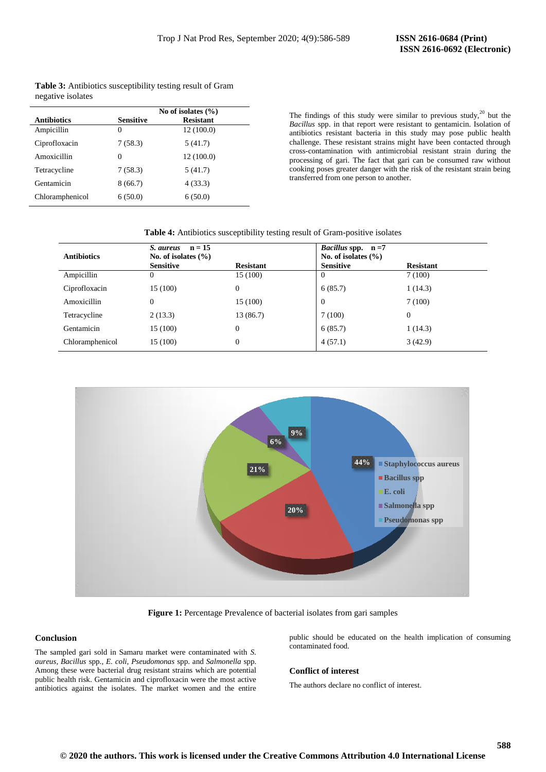|                    | No of isolates $(\% )$ |                  |  |
|--------------------|------------------------|------------------|--|
| <b>Antibiotics</b> | <b>Sensitive</b>       | <b>Resistant</b> |  |
| Ampicillin         | 0                      | 12 (100.0)       |  |
| Ciprofloxacin      | 7(58.3)                | 5(41.7)          |  |
| Amoxicillin        | 0                      | 12(100.0)        |  |
| Tetracycline       | 7(58.3)                | 5(41.7)          |  |
| Gentamicin         | 8(66.7)                | 4(33.3)          |  |
| Chloramphenicol    | 6(50.0)                | 6(50.0)          |  |

**Table 3:** Antibiotics susceptibility testing result of Gram negative isolates

> The findings of this study were similar to previous study, $20$  but the *Bacillus* spp. in that report were resistant to gentamicin. Isolation of antibiotics resistant bacteria in this study may pose public health challenge. These resistant strains might have been contacted through cross-contamination with antimicrobial resistant strain during the processing of gari. The fact that gari can be consumed raw without cooking poses greater danger with the risk of the resistant strain being transferred from one person to another.

## **Table 4:** Antibiotics susceptibility testing result of Gram-positive isolates

| <b>Antibiotics</b> | $n = 15$<br>S. aureus<br>No. of isolates $(\% )$<br><b>Sensitive</b> | <b>Resistant</b> | <i>Bacillus</i> spp. $n = 7$<br>No. of isolates $(\% )$<br><b>Sensitive</b> | <b>Resistant</b> |
|--------------------|----------------------------------------------------------------------|------------------|-----------------------------------------------------------------------------|------------------|
| Ampicillin         | 0                                                                    | 15 (100)         | 0                                                                           | 7(100)           |
| Ciprofloxacin      | 15 (100)                                                             | $\overline{0}$   | 6(85.7)                                                                     | 1(14.3)          |
| Amoxicillin        | $\theta$                                                             | 15 (100)         | $\overline{0}$                                                              | 7(100)           |
| Tetracycline       | 2(13.3)                                                              | 13 (86.7)        | 7(100)                                                                      | $\mathbf{0}$     |
| Gentamicin         | 15 (100)                                                             | $\mathbf{0}$     | 6(85.7)                                                                     | 1(14.3)          |
| Chloramphenicol    | 15 (100)                                                             | $\theta$         | 4(57.1)                                                                     | 3(42.9)          |



**Figure 1:** Percentage Prevalence of bacterial isolates from gari samples

## **Conclusion**

The sampled gari sold in Samaru market were contaminated with *S. aureus, Bacillus* spp.*, E. coli, Pseudomonas* spp. and *Salmonella* spp*.* Among these were bacterial drug resistant strains which are potential public health risk. Gentamicin and ciprofloxacin were the most active antibiotics against the isolates. The market women and the entire

public should be educated on the health implication of consuming contaminated food.

## **Conflict of interest**

The authors declare no conflict of interest.